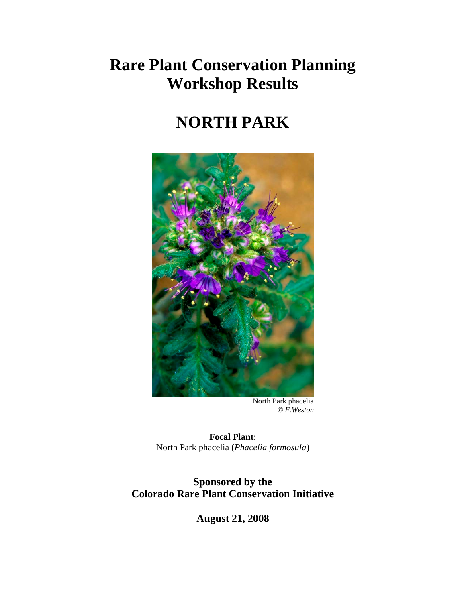## **Rare Plant Conservation Planning Workshop Results**

# **NORTH PARK**



 North Park phacelia  *© F.Weston*

**Focal Plant**: North Park phacelia (*Phacelia formosula*)

**Sponsored by the Colorado Rare Plant Conservation Initiative**

**August 21, 2008**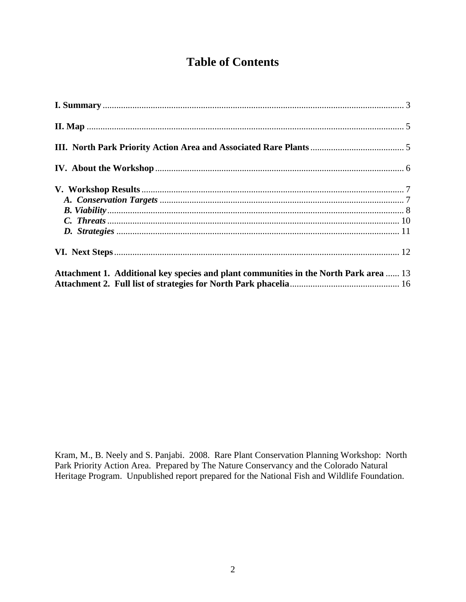### **Table of Contents**

| Attachment 1. Additional key species and plant communities in the North Park area  13 |
|---------------------------------------------------------------------------------------|

Kram, M., B. Neely and S. Panjabi. 2008. Rare Plant Conservation Planning Workshop: North Park Priority Action Area. Prepared by The Nature Conservancy and the Colorado Natural Heritage Program. Unpublished report prepared for the National Fish and Wildlife Foundation.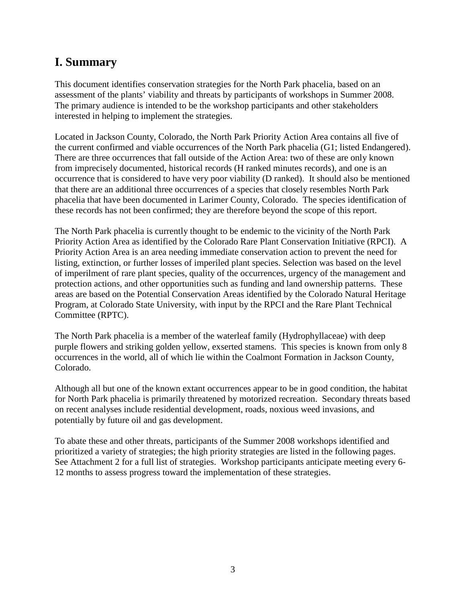### <span id="page-2-0"></span>**I. Summary**

This document identifies conservation strategies for the North Park phacelia, based on an assessment of the plants' viability and threats by participants of workshops in Summer 2008. The primary audience is intended to be the workshop participants and other stakeholders interested in helping to implement the strategies.

Located in Jackson County, Colorado, the North Park Priority Action Area contains all five of the current confirmed and viable occurrences of the North Park phacelia (G1; listed Endangered). There are three occurrences that fall outside of the Action Area: two of these are only known from imprecisely documented, historical records (H ranked minutes records), and one is an occurrence that is considered to have very poor viability (D ranked). It should also be mentioned that there are an additional three occurrences of a species that closely resembles North Park phacelia that have been documented in Larimer County, Colorado. The species identification of these records has not been confirmed; they are therefore beyond the scope of this report.

The North Park phacelia is currently thought to be endemic to the vicinity of the North Park Priority Action Area as identified by the Colorado Rare Plant Conservation Initiative (RPCI). A Priority Action Area is an area needing immediate conservation action to prevent the need for listing, extinction, or further losses of imperiled plant species. Selection was based on the level of imperilment of rare plant species, quality of the occurrences, urgency of the management and protection actions, and other opportunities such as funding and land ownership patterns. These areas are based on the Potential Conservation Areas identified by the Colorado Natural Heritage Program, at Colorado State University, with input by the RPCI and the Rare Plant Technical Committee (RPTC).

The North Park phacelia is a member of the waterleaf family (Hydrophyllaceae) with deep purple flowers and striking golden yellow, exserted stamens. This species is known from only 8 occurrences in the world, all of which lie within the Coalmont Formation in Jackson County, Colorado.

Although all but one of the known extant occurrences appear to be in good condition, the habitat for North Park phacelia is primarily threatened by motorized recreation. Secondary threats based on recent analyses include residential development, roads, noxious weed invasions, and potentially by future oil and gas development.

To abate these and other threats, participants of the Summer 2008 workshops identified and prioritized a variety of strategies; the high priority strategies are listed in the following pages. See Attachment 2 for a full list of strategies. Workshop participants anticipate meeting every 6- 12 months to assess progress toward the implementation of these strategies.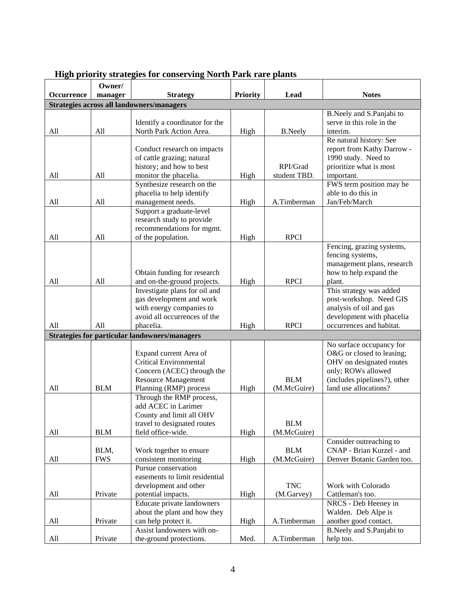|                   | Owner/     |                                                              | <b>Priority</b> | Lead           | <b>Notes</b>                                       |
|-------------------|------------|--------------------------------------------------------------|-----------------|----------------|----------------------------------------------------|
| <b>Occurrence</b> | manager    | <b>Strategy</b><br>Strategies across all landowners/managers |                 |                |                                                    |
|                   |            |                                                              |                 |                | B.Neely and S.Panjabi to                           |
|                   |            | Identify a coordinator for the                               |                 |                | serve in this role in the                          |
| All               | All        | North Park Action Area.                                      | High            | <b>B.Neely</b> | interim.                                           |
|                   |            |                                                              |                 |                | Re natural history: See                            |
|                   |            | Conduct research on impacts                                  |                 |                | report from Kathy Darrow -                         |
|                   |            | of cattle grazing; natural                                   |                 |                | 1990 study. Need to                                |
|                   |            | history; and how to best                                     |                 | RPI/Grad       | prioritize what is most                            |
| All               | All        | monitor the phacelia.<br>Synthesize research on the          | High            | student TBD.   | important.<br>FWS term position may be             |
|                   |            | phacelia to help identify                                    |                 |                | able to do this in                                 |
| All               | All        | management needs.                                            | High            | A.Timberman    | Jan/Feb/March                                      |
|                   |            | Support a graduate-level                                     |                 |                |                                                    |
|                   |            | research study to provide                                    |                 |                |                                                    |
|                   |            | recommendations for mgmt.                                    |                 |                |                                                    |
| All               | All        | of the population.                                           | High            | <b>RPCI</b>    |                                                    |
|                   |            |                                                              |                 |                | Fencing, grazing systems,                          |
|                   |            |                                                              |                 |                | fencing systems,                                   |
|                   |            |                                                              |                 |                | management plans, research                         |
|                   |            | Obtain funding for research                                  |                 |                | how to help expand the                             |
| All               | All        | and on-the-ground projects.                                  | High            | <b>RPCI</b>    | plant.                                             |
|                   |            | Investigate plans for oil and                                |                 |                | This strategy was added                            |
|                   |            | gas development and work<br>with energy companies to         |                 |                | post-workshop. Need GIS<br>analysis of oil and gas |
|                   |            | avoid all occurrences of the                                 |                 |                | development with phacelia                          |
| All               | All        | phacelia.                                                    | High            | <b>RPCI</b>    | occurrences and habitat.                           |
|                   |            | <b>Strategies for particular landowners/managers</b>         |                 |                |                                                    |
|                   |            |                                                              |                 |                | No surface occupancy for                           |
|                   |            | Expand current Area of                                       |                 |                | O&G or closed to leasing;                          |
|                   |            | <b>Critical Environmental</b>                                |                 |                | OHV on designated routes                           |
|                   |            | Concern (ACEC) through the                                   |                 |                | only; ROWs allowed                                 |
|                   |            | <b>Resource Management</b>                                   |                 | <b>BLM</b>     | (includes pipelines?), other                       |
| All               | <b>BLM</b> | Planning (RMP) process                                       | High            | (M.McGuire)    | land use allocations?                              |
|                   |            | Through the RMP process,                                     |                 |                |                                                    |
|                   |            | add ACEC in Larimer                                          |                 |                |                                                    |
|                   |            | County and limit all OHV                                     |                 | <b>BLM</b>     |                                                    |
| All               | <b>BLM</b> | travel to designated routes<br>field office-wide.            | High            | (M.McGuire)    |                                                    |
|                   |            |                                                              |                 |                | Consider outreaching to                            |
|                   | BLM,       | Work together to ensure                                      |                 | <b>BLM</b>     | CNAP - Brian Kurzel - and                          |
| All               | <b>FWS</b> | consistent monitoring                                        | High            | (M.McGuire)    | Denver Botanic Garden too.                         |
|                   |            | Pursue conservation                                          |                 |                |                                                    |
|                   |            | easements to limit residential                               |                 |                |                                                    |
|                   |            | development and other                                        |                 | <b>TNC</b>     | Work with Colorado                                 |
| All               | Private    | potential impacts.                                           | High            | (M.Garvey)     | Cattleman's too.                                   |
|                   |            | Educate private landowners                                   |                 |                | NRCS - Deb Heeney in                               |
|                   |            | about the plant and how they                                 |                 |                | Walden. Deb Alpe is                                |
| All               | Private    | can help protect it.                                         | High            | A.Timberman    | another good contact.                              |
|                   |            | Assist landowners with on-                                   |                 |                | B.Neely and S.Panjabi to                           |
| All               | Private    | the-ground protections.                                      | Med.            | A.Timberman    | help too.                                          |

### **High priority strategies for conserving North Park rare plants**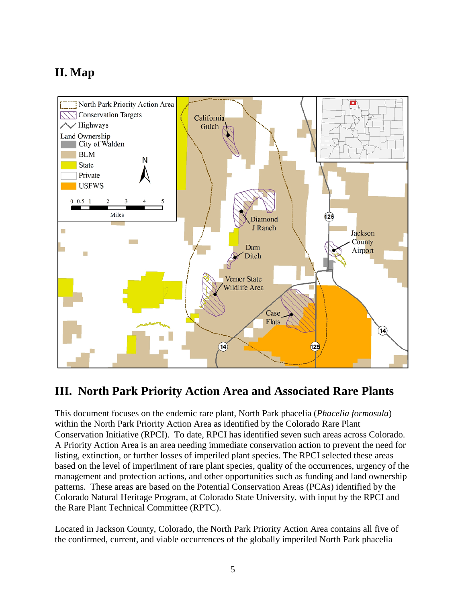## <span id="page-4-0"></span>**II. Map**



#### <span id="page-4-1"></span>**III. North Park Priority Action Area and Associated Rare Plants**

This document focuses on the endemic rare plant, North Park phacelia (*Phacelia formosula*) within the North Park Priority Action Area as identified by the Colorado Rare Plant Conservation Initiative (RPCI). To date, RPCI has identified seven such areas across Colorado. A Priority Action Area is an area needing immediate conservation action to prevent the need for listing, extinction, or further losses of imperiled plant species. The RPCI selected these areas based on the level of imperilment of rare plant species, quality of the occurrences, urgency of the management and protection actions, and other opportunities such as funding and land ownership patterns. These areas are based on the Potential Conservation Areas (PCAs) identified by the Colorado Natural Heritage Program, at Colorado State University, with input by the RPCI and the Rare Plant Technical Committee (RPTC).

Located in Jackson County, Colorado, the North Park Priority Action Area contains all five of the confirmed, current, and viable occurrences of the globally imperiled North Park phacelia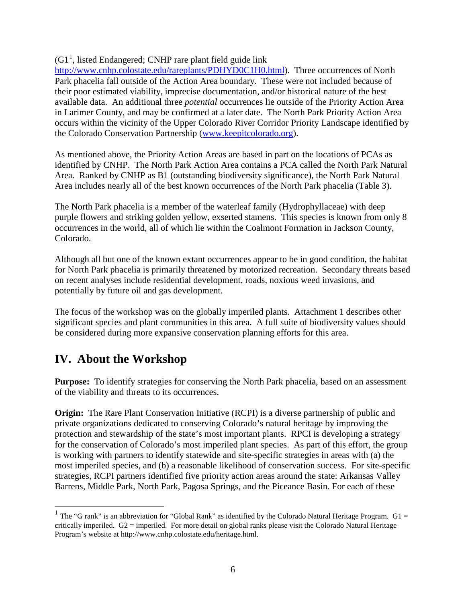$(G1<sup>1</sup>$  $(G1<sup>1</sup>$  $(G1<sup>1</sup>$ , listed Endangered; CNHP rare plant field guide link

[http://www.cnhp.colostate.edu/rareplants/PDHYD0C1H0.html\)](http://www.cnhp.colostate.edu/rareplants/PDHYD0C1H0.html). Three occurrences of North Park phacelia fall outside of the Action Area boundary. These were not included because of their poor estimated viability, imprecise documentation, and/or historical nature of the best available data. An additional three *potential* occurrences lie outside of the Priority Action Area in Larimer County, and may be confirmed at a later date. The North Park Priority Action Area occurs within the vicinity of the Upper Colorado River Corridor Priority Landscape identified by the Colorado Conservation Partnership [\(www.keepitcolorado.org\)](http://www.keepitcolorado.org/).

As mentioned above, the Priority Action Areas are based in part on the locations of PCAs as identified by CNHP. The North Park Action Area contains a PCA called the North Park Natural Area. Ranked by CNHP as B1 (outstanding biodiversity significance), the North Park Natural Area includes nearly all of the best known occurrences of the North Park phacelia (Table 3).

The North Park phacelia is a member of the waterleaf family (Hydrophyllaceae) with deep purple flowers and striking golden yellow, exserted stamens. This species is known from only 8 occurrences in the world, all of which lie within the Coalmont Formation in Jackson County, Colorado.

Although all but one of the known extant occurrences appear to be in good condition, the habitat for North Park phacelia is primarily threatened by motorized recreation. Secondary threats based on recent analyses include residential development, roads, noxious weed invasions, and potentially by future oil and gas development.

The focus of the workshop was on the globally imperiled plants. Attachment 1 describes other significant species and plant communities in this area. A full suite of biodiversity values should be considered during more expansive conservation planning efforts for this area.

#### <span id="page-5-0"></span>**IV. About the Workshop**

**Purpose:** To identify strategies for conserving the North Park phacelia, based on an assessment of the viability and threats to its occurrences.

**Origin:** The Rare Plant Conservation Initiative (RCPI) is a diverse partnership of public and private organizations dedicated to conserving Colorado's natural heritage by improving the protection and stewardship of the state's most important plants. RPCI is developing a strategy for the conservation of Colorado's most imperiled plant species. As part of this effort, the group is working with partners to identify statewide and site-specific strategies in areas with (a) the most imperiled species, and (b) a reasonable likelihood of conservation success. For site-specific strategies, RCPI partners identified five priority action areas around the state: Arkansas Valley Barrens, Middle Park, North Park, Pagosa Springs, and the Piceance Basin. For each of these

<span id="page-5-1"></span><sup>&</sup>lt;sup>1</sup> The "G rank" is an abbreviation for "Global Rank" as identified by the Colorado Natural Heritage Program.  $G1 =$ critically imperiled.  $G2$  = imperiled. For more detail on global ranks please visit the Colorado Natural Heritage Program's website at http://www.cnhp.colostate.edu/heritage.html.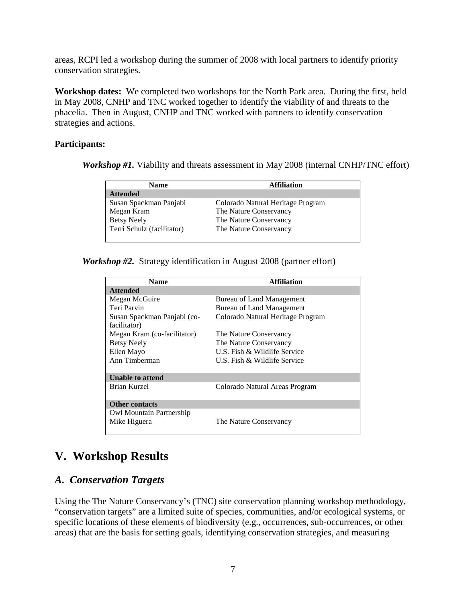areas, RCPI led a workshop during the summer of 2008 with local partners to identify priority conservation strategies.

**Workshop dates:** We completed two workshops for the North Park area. During the first, held in May 2008, CNHP and TNC worked together to identify the viability of and threats to the phacelia. Then in August, CNHP and TNC worked with partners to identify conservation strategies and actions.

#### **Participants:**

*Workshop #1*. Viability and threats assessment in May 2008 (internal CNHP/TNC effort)

| <b>Name</b>                | <b>Affiliation</b>                |
|----------------------------|-----------------------------------|
| <b>Attended</b>            |                                   |
| Susan Spackman Panjabi     | Colorado Natural Heritage Program |
| Megan Kram                 | The Nature Conservancy            |
| <b>Betsy Neely</b>         | The Nature Conservancy            |
| Terri Schulz (facilitator) | The Nature Conservancy            |
|                            |                                   |

*Workshop #2.* Strategy identification in August 2008 (partner effort)

| <b>Name</b>                 | <b>Affiliation</b>                |
|-----------------------------|-----------------------------------|
| <b>Attended</b>             |                                   |
| Megan McGuire               | Bureau of Land Management         |
| Teri Parvin                 | Bureau of Land Management         |
| Susan Spackman Panjabi (co- | Colorado Natural Heritage Program |
| facilitator)                |                                   |
| Megan Kram (co-facilitator) | The Nature Conservancy            |
| <b>Betsy Neely</b>          | The Nature Conservancy            |
| Ellen Mayo                  | U.S. Fish & Wildlife Service      |
| Ann Timberman               | U.S. Fish & Wildlife Service      |
| <b>Unable to attend</b>     |                                   |
| Brian Kurzel                | Colorado Natural Areas Program    |
| <b>Other contacts</b>       |                                   |
| Owl Mountain Partnership    |                                   |
| Mike Higuera                | The Nature Conservancy            |

## <span id="page-6-0"></span>**V. Workshop Results**

#### <span id="page-6-1"></span>*A. Conservation Targets*

Using the The Nature Conservancy's (TNC) site conservation planning workshop methodology, "conservation targets" are a limited suite of species, communities, and/or ecological systems, or specific locations of these elements of biodiversity (e.g., occurrences, sub-occurrences, or other areas) that are the basis for setting goals, identifying conservation strategies, and measuring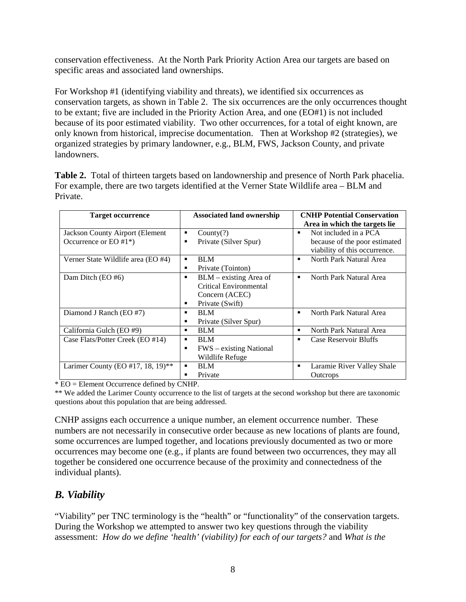conservation effectiveness. At the North Park Priority Action Area our targets are based on specific areas and associated land ownerships.

For Workshop #1 (identifying viability and threats), we identified six occurrences as conservation targets, as shown in Table 2. The six occurrences are the only occurrences thought to be extant; five are included in the Priority Action Area, and one (EO#1) is not included because of its poor estimated viability. Two other occurrences, for a total of eight known, are only known from historical, imprecise documentation. Then at Workshop #2 (strategies), we organized strategies by primary landowner, e.g., BLM, FWS, Jackson County, and private landowners.

**Table 2.** Total of thirteen targets based on landownership and presence of North Park phacelia. For example, there are two targets identified at the Verner State Wildlife area – BLM and Private.

| <b>Target occurrence</b>           | <b>Associated land ownership</b>           | <b>CNHP Potential Conservation</b>      |
|------------------------------------|--------------------------------------------|-----------------------------------------|
|                                    |                                            | Area in which the targets lie.          |
| Jackson County Airport (Element    | Country(?)<br>٠                            | Not included in a PCA<br>$\blacksquare$ |
| Occurrence or EO $#1^*$ )          | Private (Silver Spur)<br>п                 | because of the poor estimated           |
|                                    |                                            | viability of this occurrence.           |
| Verner State Wildlife area (EO #4) | <b>BLM</b><br>٠                            | North Park Natural Area                 |
|                                    | Private (Tointon)<br>п                     |                                         |
| Dam Ditch $(EO \#6)$               | $BLM - existing Area of$<br>$\blacksquare$ | North Park Natural Area<br>п            |
|                                    | Critical Environmental                     |                                         |
|                                    | Concern (ACEC)                             |                                         |
|                                    | Private (Swift)<br>٠                       |                                         |
| Diamond J Ranch (EO #7)            | <b>BLM</b><br>п                            | North Park Natural Area                 |
|                                    | Private (Silver Spur)<br>٠                 |                                         |
| California Gulch (EO #9)           | <b>BLM</b><br>п                            | North Park Natural Area<br>٠            |
| Case Flats/Potter Creek (EO #14)   | <b>BLM</b><br>٠                            | <b>Case Reservoir Bluffs</b><br>٠       |
|                                    | FWS – existing National<br>п               |                                         |
|                                    | Wildlife Refuge                            |                                         |
| Larimer County (EO #17, 18, 19)**  | <b>BLM</b><br>٠                            | Laramie River Valley Shale              |
|                                    | Private<br>٠                               | <b>Outcrops</b>                         |

 $*\overline{EO}$  = Element Occurrence defined by CNHP.

\*\* We added the Larimer County occurrence to the list of targets at the second workshop but there are taxonomic questions about this population that are being addressed.

CNHP assigns each occurrence a unique number, an element occurrence number. These numbers are not necessarily in consecutive order because as new locations of plants are found, some occurrences are lumped together, and locations previously documented as two or more occurrences may become one (e.g., if plants are found between two occurrences, they may all together be considered one occurrence because of the proximity and connectedness of the individual plants).

#### <span id="page-7-0"></span>*B. Viability*

"Viability" per TNC terminology is the "health" or "functionality" of the conservation targets. During the Workshop we attempted to answer two key questions through the viability assessment: *How do we define 'health' (viability) for each of our targets?* and *What is the*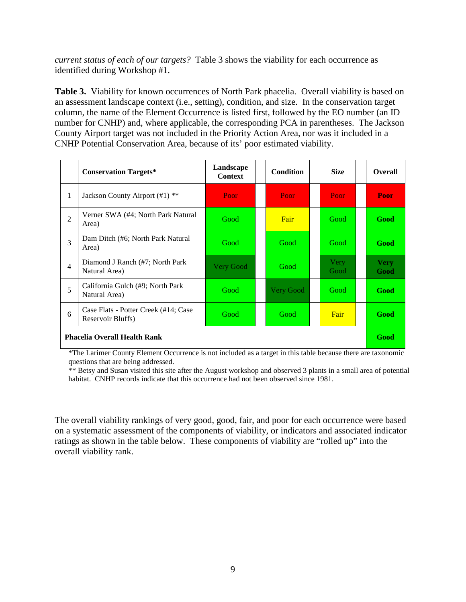*current status of each of our targets?* Table 3 shows the viability for each occurrence as identified during Workshop #1.

**Table 3.** Viability for known occurrences of North Park phacelia. Overall viability is based on an assessment landscape context (i.e., setting), condition, and size. In the conservation target column, the name of the Element Occurrence is listed first, followed by the EO number (an ID number for CNHP) and, where applicable, the corresponding PCA in parentheses. The Jackson County Airport target was not included in the Priority Action Area, nor was it included in a CNHP Potential Conservation Area, because of its' poor estimated viability.

|                                     | <b>Conservation Targets*</b>                              | Landscape<br><b>Context</b> | <b>Condition</b> |                  |  | <b>Size</b>         |  | <b>Overall</b>      |
|-------------------------------------|-----------------------------------------------------------|-----------------------------|------------------|------------------|--|---------------------|--|---------------------|
| 1                                   | Jackson County Airport (#1) **                            | Poor                        |                  | Poor             |  | Poor                |  | Poor                |
| $\overline{2}$                      | Verner SWA (#4; North Park Natural<br>Area)               | Good                        |                  | Fair             |  | Good                |  | Good                |
| 3                                   | Dam Ditch (#6; North Park Natural<br>Area)                | Good                        |                  | Good             |  | Good                |  | Good                |
| $\overline{4}$                      | Diamond J Ranch (#7; North Park)<br>Natural Area)         | <b>Very Good</b>            |                  | Good             |  | <b>Very</b><br>Good |  | <b>Very</b><br>Good |
| 5                                   | California Gulch (#9; North Park)<br>Natural Area)        | Good                        |                  | <b>Very Good</b> |  | Good                |  | Good                |
| 6                                   | Case Flats - Potter Creek (#14; Case<br>Reservoir Bluffs) | Good                        |                  | Good             |  | Fair                |  | Good                |
| <b>Phacelia Overall Health Rank</b> |                                                           |                             |                  |                  |  |                     |  | Good                |

\*The Larimer County Element Occurrence is not included as a target in this table because there are taxonomic questions that are being addressed.

\*\* Betsy and Susan visited this site after the August workshop and observed 3 plants in a small area of potential habitat. CNHP records indicate that this occurrence had not been observed since 1981.

The overall viability rankings of very good, good, fair, and poor for each occurrence were based on a systematic assessment of the components of viability, or indicators and associated indicator ratings as shown in the table below. These components of viability are "rolled up" into the overall viability rank.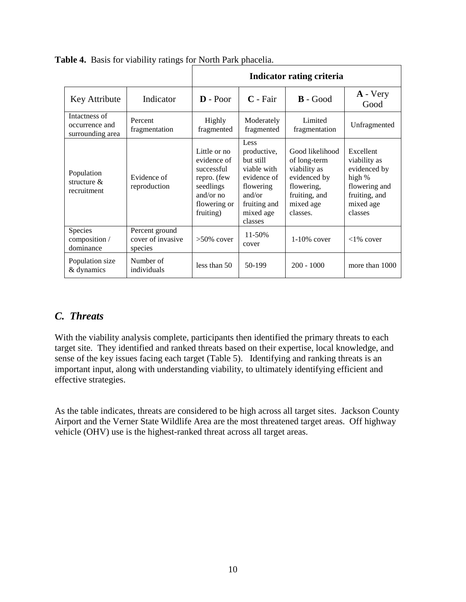|                                                     |                                                | Indicator rating criteria                                                                                       |                                                                                                                               |                                                                                                                         |                                                                                                               |  |  |
|-----------------------------------------------------|------------------------------------------------|-----------------------------------------------------------------------------------------------------------------|-------------------------------------------------------------------------------------------------------------------------------|-------------------------------------------------------------------------------------------------------------------------|---------------------------------------------------------------------------------------------------------------|--|--|
| Key Attribute                                       | Indicator                                      | $\mathbf{D}$ - Poor                                                                                             | $C$ - Fair                                                                                                                    | $\mathbf{B}$ - Good                                                                                                     | $A - Very$<br>Good                                                                                            |  |  |
| Intactness of<br>occurrence and<br>surrounding area | Percent<br>fragmentation                       | Highly<br>fragmented                                                                                            | Moderately<br>fragmented                                                                                                      | Limited<br>fragmentation                                                                                                | Unfragmented                                                                                                  |  |  |
| Population<br>structure &<br>recruitment            | Evidence of<br>reproduction                    | Little or no<br>evidence of<br>successful<br>repro. (few<br>seedlings<br>and/or no<br>flowering or<br>fruiting) | Less<br>productive,<br>but still<br>viable with<br>evidence of<br>flowering<br>and/or<br>fruiting and<br>mixed age<br>classes | Good likelihood<br>of long-term<br>viability as<br>evidenced by<br>flowering,<br>fruiting, and<br>mixed age<br>classes. | Excellent<br>viability as<br>evidenced by<br>high %<br>flowering and<br>fruiting, and<br>mixed age<br>classes |  |  |
| Species<br>composition /<br>dominance               | Percent ground<br>cover of invasive<br>species | $>50\%$ cover                                                                                                   | 11-50%<br>cover                                                                                                               | $1-10\%$ cover                                                                                                          | $<1\%$ cover                                                                                                  |  |  |
| Population size<br>& dynamics                       | Number of<br>individuals                       | less than 50                                                                                                    | 50-199                                                                                                                        | $200 - 1000$                                                                                                            | more than 1000                                                                                                |  |  |

**Table 4.** Basis for viability ratings for North Park phacelia.

#### <span id="page-9-0"></span>*C. Threats*

With the viability analysis complete, participants then identified the primary threats to each target site. They identified and ranked threats based on their expertise, local knowledge, and sense of the key issues facing each target (Table 5). Identifying and ranking threats is an important input, along with understanding viability, to ultimately identifying efficient and effective strategies.

As the table indicates, threats are considered to be high across all target sites. Jackson County Airport and the Verner State Wildlife Area are the most threatened target areas. Off highway vehicle (OHV) use is the highest-ranked threat across all target areas.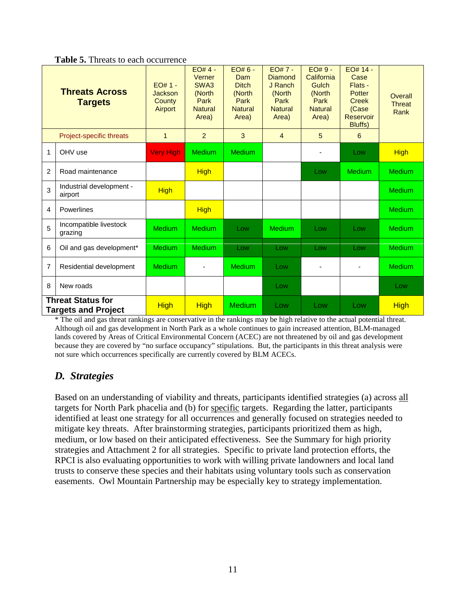|  |  |  | <b>Table 5.</b> Threats to each occurrence |
|--|--|--|--------------------------------------------|
|--|--|--|--------------------------------------------|

|   | <b>Threats Across</b><br><b>Targets</b><br>Project-specific threats | $FO#1 -$<br>Jackson<br>County<br>Airport<br>$\mathbf{1}$ | $EO#4 -$<br>Verner<br>SWA3<br>(North<br>Park<br><b>Natural</b><br>Area)<br>$\overline{2}$ | $EO#6 -$<br><b>Dam</b><br><b>Ditch</b><br>(North<br>Park<br><b>Natural</b><br>Area)<br>3 | $EO# 7 -$<br>Diamond<br>J Ranch<br>(North<br>Park<br><b>Natural</b><br>Area)<br>$\overline{4}$ | $EO#9 -$<br>California<br>Gulch<br>(North<br>Park<br><b>Natural</b><br>Area)<br>5 | EO# 14 -<br>Case<br>Flats -<br>Potter<br><b>Creek</b><br>(Case<br><b>Reservoir</b><br>Bluffs)<br>6 | Overall<br><b>Threat</b><br>Rank |
|---|---------------------------------------------------------------------|----------------------------------------------------------|-------------------------------------------------------------------------------------------|------------------------------------------------------------------------------------------|------------------------------------------------------------------------------------------------|-----------------------------------------------------------------------------------|----------------------------------------------------------------------------------------------------|----------------------------------|
| 1 | OHV use                                                             | <b>Very High</b>                                         | <b>Medium</b>                                                                             | <b>Medium</b>                                                                            |                                                                                                | $\overline{a}$                                                                    | Low                                                                                                | <b>High</b>                      |
| 2 | Road maintenance                                                    |                                                          | <b>High</b>                                                                               |                                                                                          |                                                                                                | Low                                                                               | <b>Medium</b>                                                                                      | <b>Medium</b>                    |
| 3 | Industrial development -<br>airport                                 | <b>High</b>                                              |                                                                                           |                                                                                          |                                                                                                |                                                                                   |                                                                                                    | <b>Medium</b>                    |
| 4 | Powerlines                                                          |                                                          | <b>High</b>                                                                               |                                                                                          |                                                                                                |                                                                                   |                                                                                                    | <b>Medium</b>                    |
| 5 | Incompatible livestock<br>grazing                                   | <b>Medium</b>                                            | <b>Medium</b>                                                                             | Low                                                                                      | <b>Medium</b>                                                                                  | Low                                                                               | Low                                                                                                | <b>Medium</b>                    |
| 6 | Oil and gas development*                                            | <b>Medium</b>                                            | <b>Medium</b>                                                                             | Low                                                                                      | Low                                                                                            | Low                                                                               | Low                                                                                                | <b>Medium</b>                    |
| 7 | Residential development                                             | <b>Medium</b>                                            |                                                                                           | <b>Medium</b>                                                                            | Low                                                                                            | $\overline{a}$                                                                    |                                                                                                    | <b>Medium</b>                    |
| 8 | New roads                                                           |                                                          |                                                                                           |                                                                                          | Low                                                                                            |                                                                                   |                                                                                                    | Low                              |
|   | <b>Threat Status for</b><br><b>Targets and Project</b>              | <b>High</b>                                              | <b>High</b>                                                                               | <b>Medium</b>                                                                            | Low                                                                                            | Low                                                                               | Low                                                                                                | <b>High</b>                      |

\* The oil and gas threat rankings are conservative in the rankings may be high relative to the actual potential threat. Although oil and gas development in North Park as a whole continues to gain increased attention, BLM-managed lands covered by Areas of Critical Environmental Concern (ACEC) are not threatened by oil and gas development because they are covered by "no surface occupancy" stipulations. But, the participants in this threat analysis were not sure which occurrences specifically are currently covered by BLM ACECs.

#### <span id="page-10-0"></span>*D. Strategies*

Based on an understanding of viability and threats, participants identified strategies (a) across all targets for North Park phacelia and (b) for specific targets. Regarding the latter, participants identified at least one strategy for all occurrences and generally focused on strategies needed to mitigate key threats. After brainstorming strategies, participants prioritized them as high, medium, or low based on their anticipated effectiveness. See the Summary for high priority strategies and Attachment 2 for all strategies. Specific to private land protection efforts, the RPCI is also evaluating opportunities to work with willing private landowners and local land trusts to conserve these species and their habitats using voluntary tools such as conservation easements. Owl Mountain Partnership may be especially key to strategy implementation.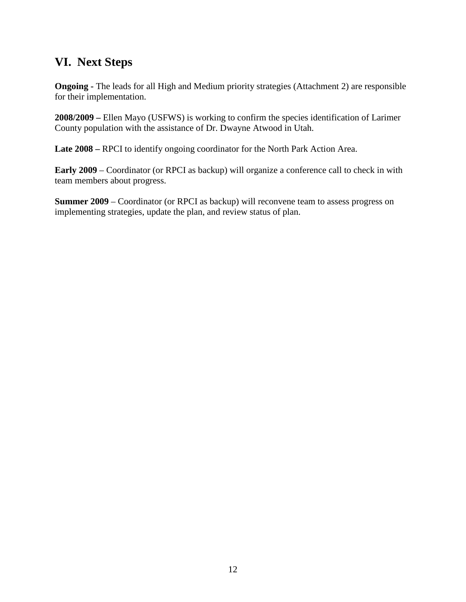### <span id="page-11-0"></span>**VI. Next Steps**

**Ongoing -** The leads for all High and Medium priority strategies (Attachment 2) are responsible for their implementation.

**2008/2009 –** Ellen Mayo (USFWS) is working to confirm the species identification of Larimer County population with the assistance of Dr. Dwayne Atwood in Utah.

**Late 2008 –** RPCI to identify ongoing coordinator for the North Park Action Area.

**Early 2009** – Coordinator (or RPCI as backup) will organize a conference call to check in with team members about progress.

**Summer 2009** – Coordinator (or RPCI as backup) will reconvene team to assess progress on implementing strategies, update the plan, and review status of plan.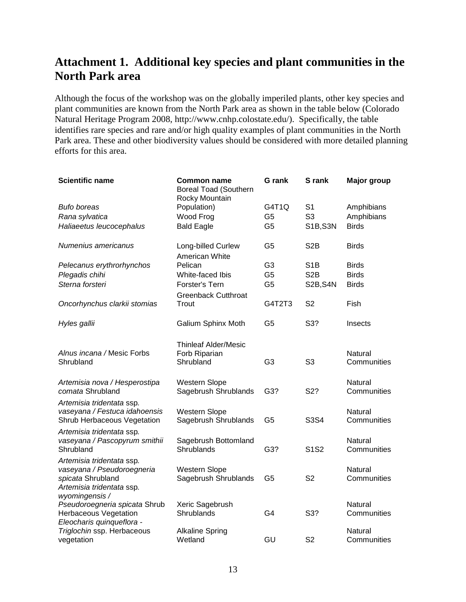### <span id="page-12-0"></span>**Attachment 1. Additional key species and plant communities in the North Park area**

Although the focus of the workshop was on the globally imperiled plants, other key species and plant communities are known from the North Park area as shown in the table below (Colorado Natural Heritage Program 2008, http://www.cnhp.colostate.edu/). Specifically, the table identifies rare species and rare and/or high quality examples of plant communities in the North Park area. These and other biodiversity values should be considered with more detailed planning efforts for this area.

| <b>Scientific name</b>                                                                                       | <b>Common name</b><br><b>Boreal Toad (Southern</b><br>Rocky Mountain | <b>G</b> rank  | S rank           | <b>Major group</b>     |
|--------------------------------------------------------------------------------------------------------------|----------------------------------------------------------------------|----------------|------------------|------------------------|
| <b>Bufo boreas</b>                                                                                           | Population)                                                          | G4T1Q          | S <sub>1</sub>   | Amphibians             |
| Rana sylvatica                                                                                               | Wood Frog                                                            | G <sub>5</sub> | S <sub>3</sub>   | Amphibians             |
| Haliaeetus leucocephalus                                                                                     | <b>Bald Eagle</b>                                                    | G <sub>5</sub> | <b>S1B, S3N</b>  | <b>Birds</b>           |
| Numenius americanus                                                                                          | Long-billed Curlew<br>American White                                 | G <sub>5</sub> | S <sub>2</sub> B | <b>Birds</b>           |
| Pelecanus erythrorhynchos                                                                                    | Pelican                                                              | G <sub>3</sub> | S <sub>1</sub> B | <b>Birds</b>           |
| Plegadis chihi                                                                                               | White-faced Ibis                                                     | G <sub>5</sub> | S <sub>2</sub> B | <b>Birds</b>           |
| Sterna forsteri                                                                                              | <b>Forster's Tern</b>                                                | G <sub>5</sub> | S2B, S4N         | <b>Birds</b>           |
|                                                                                                              | <b>Greenback Cutthroat</b>                                           |                |                  |                        |
| Oncorhynchus clarkii stomias                                                                                 | Trout                                                                | G4T2T3         | S <sub>2</sub>   | Fish                   |
| Hyles gallii                                                                                                 | <b>Galium Sphinx Moth</b>                                            | G <sub>5</sub> | S3?              | Insects                |
| Alnus incana / Mesic Forbs<br>Shrubland                                                                      | <b>Thinleaf Alder/Mesic</b><br>Forb Riparian<br>Shrubland            | G <sub>3</sub> | S <sub>3</sub>   | Natural<br>Communities |
| Artemisia nova / Hesperostipa<br>comata Shrubland                                                            | Western Slope<br>Sagebrush Shrublands                                | G3?            | S2?              | Natural<br>Communities |
| Artemisia tridentata ssp.<br>vaseyana / Festuca idahoensis<br>Shrub Herbaceous Vegetation                    | Western Slope<br>Sagebrush Shrublands                                | G <sub>5</sub> | S3S4             | Natural<br>Communities |
| Artemisia tridentata ssp.<br>vaseyana / Pascopyrum smithii<br>Shrubland                                      | Sagebrush Bottomland<br>Shrublands                                   | G3?            | S1S2             | Natural<br>Communities |
| Artemisia tridentata ssp.<br>vaseyana / Pseudoroegneria<br>spicata Shrubland<br>Artemisia tridentata ssp.    | Western Slope<br>Sagebrush Shrublands                                | G <sub>5</sub> | S <sub>2</sub>   | Natural<br>Communities |
| wyomingensis /<br>Pseudoroegneria spicata Shrub<br><b>Herbaceous Vegetation</b><br>Eleocharis quinqueflora - | Xeric Sagebrush<br>Shrublands                                        | G <sub>4</sub> | S3?              | Natural<br>Communities |
| Triglochin ssp. Herbaceous<br>vegetation                                                                     | <b>Alkaline Spring</b><br>Wetland                                    | GU             | S <sub>2</sub>   | Natural<br>Communities |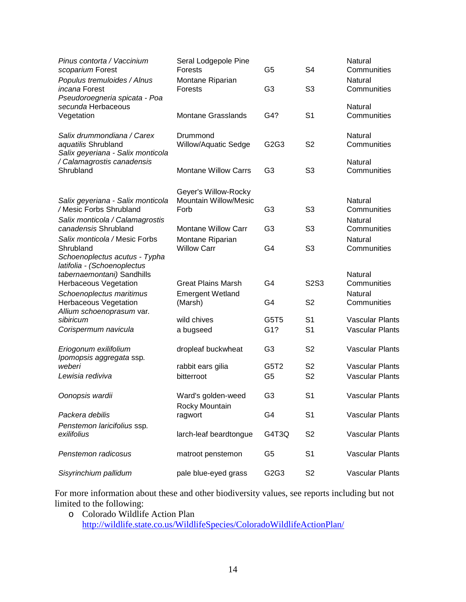| Pinus contorta / Vaccinium<br>scoparium Forest                                                             | Seral Lodgepole Pine<br><b>Forests</b>        | G5                      | S <sub>4</sub>                   | Natural<br>Communities                           |
|------------------------------------------------------------------------------------------------------------|-----------------------------------------------|-------------------------|----------------------------------|--------------------------------------------------|
| Populus tremuloides / Alnus<br><i>incana</i> Forest<br>Pseudoroegneria spicata - Poa                       | Montane Riparian<br>Forests                   | G <sub>3</sub>          | S <sub>3</sub>                   | Natural<br>Communities                           |
| secunda Herbaceous<br>Vegetation                                                                           | <b>Montane Grasslands</b>                     | G4?                     | S <sub>1</sub>                   | Natural<br>Communities                           |
| Salix drummondiana / Carex<br>aquatilis Shrubland<br>Salix geyeriana - Salix monticola                     | Drummond<br><b>Willow/Aquatic Sedge</b>       | G2G3                    | S <sub>2</sub>                   | Natural<br>Communities                           |
| / Calamagrostis canadensis<br>Shrubland                                                                    | <b>Montane Willow Carrs</b>                   | G <sub>3</sub>          | S <sub>3</sub>                   | Natural<br>Communities                           |
| Salix geyeriana - Salix monticola                                                                          | Geyer's Willow-Rocky<br>Mountain Willow/Mesic |                         |                                  | Natural                                          |
| /Mesic Forbs Shrubland                                                                                     | Forb                                          | G <sub>3</sub>          | S <sub>3</sub>                   | Communities                                      |
| Salix monticola / Calamagrostis<br>canadensis Shrubland                                                    | <b>Montane Willow Carr</b>                    | G <sub>3</sub>          | S <sub>3</sub>                   | Natural<br>Communities                           |
| Salix monticola / Mesic Forbs<br>Shrubland<br>Schoenoplectus acutus - Typha<br>latifolia - (Schoenoplectus | Montane Riparian<br><b>Willow Carr</b>        | G4                      | S <sub>3</sub>                   | Natural<br>Communities                           |
| tabernaemontani) Sandhills<br><b>Herbaceous Vegetation</b>                                                 | <b>Great Plains Marsh</b>                     | G4                      | <b>S2S3</b>                      | Natural<br>Communities                           |
| Schoenoplectus maritimus<br><b>Herbaceous Vegetation</b><br>Allium schoenoprasum var.                      | <b>Emergent Wetland</b><br>(Marsh)            | G4                      | S <sub>2</sub>                   | Natural<br>Communities                           |
| sibiricum<br>Corispermum navicula                                                                          | wild chives<br>a bugseed                      | G5T <sub>5</sub><br>G1? | S <sub>1</sub><br>S <sub>1</sub> | <b>Vascular Plants</b><br><b>Vascular Plants</b> |
|                                                                                                            |                                               |                         |                                  |                                                  |
| Eriogonum exilifolium<br>Ipomopsis aggregata ssp.                                                          | dropleaf buckwheat                            | G <sub>3</sub>          | S <sub>2</sub>                   | <b>Vascular Plants</b>                           |
| weberi                                                                                                     | rabbit ears gilia                             | G5T2                    | S <sub>2</sub>                   | <b>Vascular Plants</b>                           |
| Lewisia rediviva                                                                                           | bitterroot                                    | G <sub>5</sub>          | S <sub>2</sub>                   | <b>Vascular Plants</b>                           |
| Oonopsis wardii                                                                                            | Ward's golden-weed<br>Rocky Mountain          | G <sub>3</sub>          | S <sub>1</sub>                   | Vascular Plants                                  |
| Packera debilis                                                                                            | ragwort                                       | G4                      | S <sub>1</sub>                   | Vascular Plants                                  |
| Penstemon laricifolius ssp.<br>exilifolius                                                                 | larch-leaf beardtongue                        | G4T3Q                   | S <sub>2</sub>                   | <b>Vascular Plants</b>                           |
| Penstemon radicosus                                                                                        | matroot penstemon                             | G <sub>5</sub>          | S <sub>1</sub>                   | <b>Vascular Plants</b>                           |
| Sisyrinchium pallidum                                                                                      | pale blue-eyed grass                          | G2G3                    | S <sub>2</sub>                   | <b>Vascular Plants</b>                           |

For more information about these and other biodiversity values, see reports including but not limited to the following:

o Colorado Wildlife Action Plan <http://wildlife.state.co.us/WildlifeSpecies/ColoradoWildlifeActionPlan/>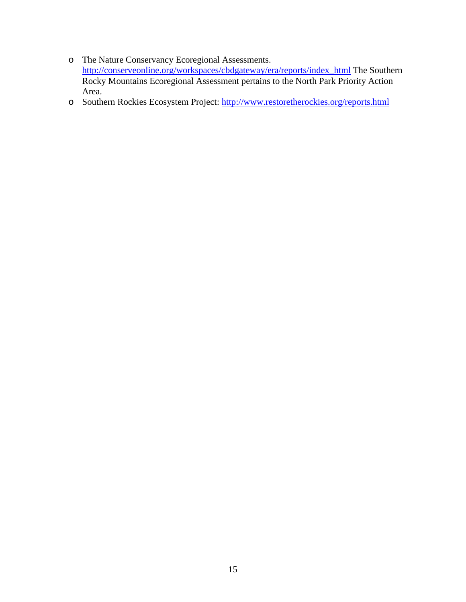- o The Nature Conservancy Ecoregional Assessments. [http://conserveonline.org/workspaces/cbdgateway/era/reports/index\\_html](http://conserveonline.org/workspaces/cbdgateway/era/reports/index_html) The Southern Rocky Mountains Ecoregional Assessment pertains to the North Park Priority Action Area.
- o Southern Rockies Ecosystem Project:<http://www.restoretherockies.org/reports.html>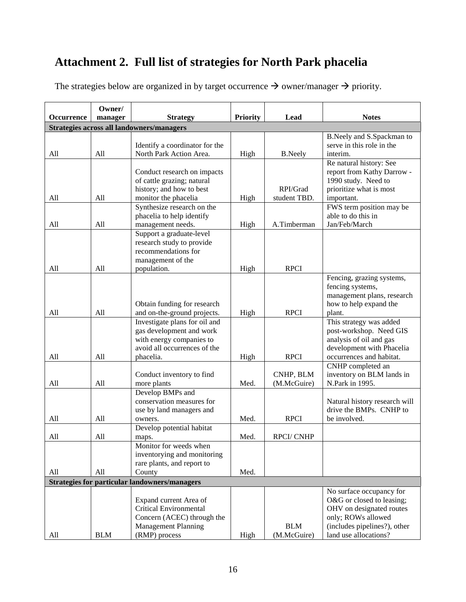## <span id="page-15-0"></span>**Attachment 2. Full list of strategies for North Park phacelia**

| Occurrence | Owner/<br>manager<br><b>Strategy</b> |                                                                                                                                      | <b>Priority</b> | Lead                       | <b>Notes</b>                                                                                                                                                     |
|------------|--------------------------------------|--------------------------------------------------------------------------------------------------------------------------------------|-----------------|----------------------------|------------------------------------------------------------------------------------------------------------------------------------------------------------------|
|            |                                      | Strategies across all landowners/managers                                                                                            |                 |                            |                                                                                                                                                                  |
| All        | All                                  | Identify a coordinator for the<br>North Park Action Area.                                                                            |                 |                            | B.Neely and S.Spackman to<br>serve in this role in the<br>interim.                                                                                               |
|            |                                      | Conduct research on impacts<br>of cattle grazing; natural<br>history; and how to best                                                | High            | <b>B.Neely</b><br>RPI/Grad | Re natural history: See<br>report from Kathy Darrow -<br>1990 study. Need to<br>prioritize what is most                                                          |
| All        | All                                  | monitor the phacelia                                                                                                                 | High            | student TBD.               | important.                                                                                                                                                       |
| All        | All                                  | Synthesize research on the<br>phacelia to help identify<br>management needs.                                                         | High            | A.Timberman                | FWS term position may be<br>able to do this in<br>Jan/Feb/March                                                                                                  |
| All        | All                                  | Support a graduate-level<br>research study to provide<br>recommendations for<br>management of the<br>population.                     | High            | <b>RPCI</b>                |                                                                                                                                                                  |
| All        | All                                  | Obtain funding for research<br>and on-the-ground projects.                                                                           | High            | <b>RPCI</b>                | Fencing, grazing systems,<br>fencing systems,<br>management plans, research<br>how to help expand the<br>plant.                                                  |
| All        | A11                                  | Investigate plans for oil and<br>gas development and work<br>with energy companies to<br>avoid all occurrences of the<br>phacelia.   | High            | <b>RPCI</b>                | This strategy was added<br>post-workshop. Need GIS<br>analysis of oil and gas<br>development with Phacelia<br>occurrences and habitat.                           |
| All        | All                                  | Conduct inventory to find<br>more plants                                                                                             | Med.            | CNHP, BLM<br>(M.McGuire)   | CNHP completed an<br>inventory on BLM lands in<br>N.Park in 1995.                                                                                                |
| All        | All                                  | Develop BMPs and<br>conservation measures for<br>use by land managers and<br>owners.                                                 | Med.            | <b>RPCI</b>                | Natural history research will<br>drive the BMPs. CNHP to<br>be involved.                                                                                         |
| All        | All                                  | Develop potential habitat<br>maps.                                                                                                   | Med.            | <b>RPCI/CNHP</b>           |                                                                                                                                                                  |
| All        | All                                  | Monitor for weeds when<br>inventorying and monitoring<br>rare plants, and report to<br>County                                        | Med.            |                            |                                                                                                                                                                  |
|            |                                      | <b>Strategies for particular landowners/managers</b>                                                                                 |                 |                            |                                                                                                                                                                  |
| All        | <b>BLM</b>                           | Expand current Area of<br><b>Critical Environmental</b><br>Concern (ACEC) through the<br><b>Management Planning</b><br>(RMP) process | High            | <b>BLM</b><br>(M.McGuire)  | No surface occupancy for<br>O&G or closed to leasing;<br>OHV on designated routes<br>only; ROWs allowed<br>(includes pipelines?), other<br>land use allocations? |

The strategies below are organized in by target occurrence  $\rightarrow$  owner/manager  $\rightarrow$  priority.